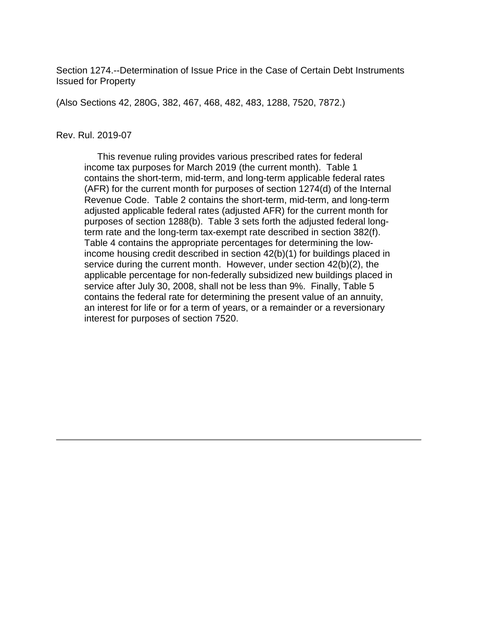Section 1274.--Determination of Issue Price in the Case of Certain Debt Instruments Issued for Property

(Also Sections 42, 280G, 382, 467, 468, 482, 483, 1288, 7520, 7872.)

#### Rev. Rul. 2019-07

 This revenue ruling provides various prescribed rates for federal income tax purposes for March 2019 (the current month). Table 1 contains the short-term, mid-term, and long-term applicable federal rates (AFR) for the current month for purposes of section 1274(d) of the Internal Revenue Code. Table 2 contains the short-term, mid-term, and long-term adjusted applicable federal rates (adjusted AFR) for the current month for purposes of section 1288(b). Table 3 sets forth the adjusted federal longterm rate and the long-term tax-exempt rate described in section 382(f). Table 4 contains the appropriate percentages for determining the lowincome housing credit described in section 42(b)(1) for buildings placed in service during the current month. However, under section 42(b)(2), the applicable percentage for non-federally subsidized new buildings placed in service after July 30, 2008, shall not be less than 9%. Finally, Table 5 contains the federal rate for determining the present value of an annuity, an interest for life or for a term of years, or a remainder or a reversionary interest for purposes of section 7520.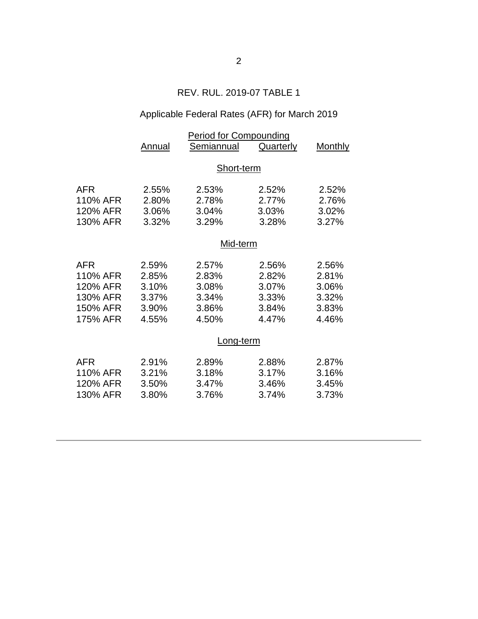## REV. RUL. 2019-07 TABLE 1

# Applicable Federal Rates (AFR) for March 2019

|          | <b>Period for Compounding</b> |            |                  |                |  |  |
|----------|-------------------------------|------------|------------------|----------------|--|--|
|          | Annual                        | Semiannual | <b>Quarterly</b> | <b>Monthly</b> |  |  |
|          |                               |            |                  |                |  |  |
|          | Short-term                    |            |                  |                |  |  |
| AFR      | 2.55%                         | 2.53%      | 2.52%            | 2.52%          |  |  |
| 110% AFR | 2.80%                         | 2.78%      | 2.77%            | 2.76%          |  |  |
| 120% AFR | 3.06%                         | 3.04%      | 3.03%            | 3.02%          |  |  |
| 130% AFR | 3.32%                         | 3.29%      | 3.28%            | 3.27%          |  |  |
|          | Mid-term                      |            |                  |                |  |  |
|          |                               |            |                  |                |  |  |
| AFR      | 2.59%                         | 2.57%      | 2.56%            | 2.56%          |  |  |
| 110% AFR | 2.85%                         | 2.83%      | 2.82%            | 2.81%          |  |  |
| 120% AFR | 3.10%                         | 3.08%      | 3.07%            | 3.06%          |  |  |
| 130% AFR | 3.37%                         | 3.34%      | 3.33%            | 3.32%          |  |  |
| 150% AFR | 3.90%                         | 3.86%      | 3.84%            | 3.83%          |  |  |
| 175% AFR | 4.55%                         | 4.50%      | 4.47%            | 4.46%          |  |  |
|          | Long-term                     |            |                  |                |  |  |
|          |                               |            |                  |                |  |  |
| AFR      | 2.91%                         | 2.89%      | 2.88%            | 2.87%          |  |  |
| 110% AFR | 3.21%                         | 3.18%      | 3.17%            | 3.16%          |  |  |
| 120% AFR | 3.50%                         | 3.47%      | 3.46%            | 3.45%          |  |  |
| 130% AFR | 3.80%                         | 3.76%      | 3.74%            | 3.73%          |  |  |
|          |                               |            |                  |                |  |  |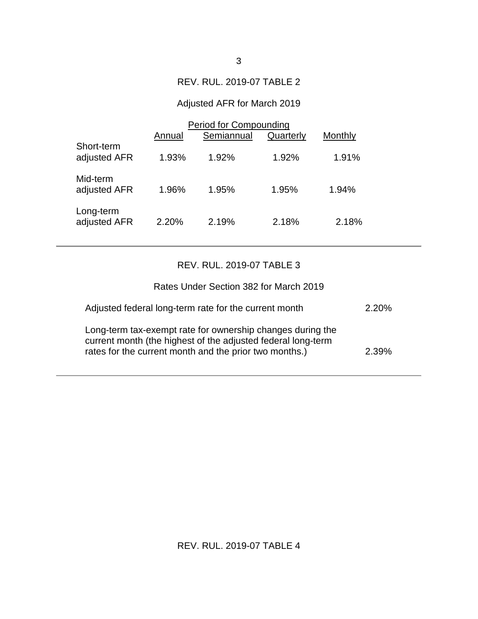#### REV. RUL. 2019-07 TABLE 2

## Adjusted AFR for March 2019

|                            | Period for Compounding |            |           |         |  |
|----------------------------|------------------------|------------|-----------|---------|--|
|                            | Annual                 | Semiannual | Quarterly | Monthly |  |
| Short-term<br>adjusted AFR | 1.93%                  | 1.92%      | 1.92%     | 1.91%   |  |
| Mid-term<br>adjusted AFR   | 1.96%                  | 1.95%      | 1.95%     | 1.94%   |  |
| Long-term<br>adjusted AFR  | 2.20%                  | 2.19%      | 2.18%     | 2.18%   |  |

#### REV. RUL. 2019-07 TABLE 3

| Rates Under Section 382 for March 2019                                                                                                                                               |       |
|--------------------------------------------------------------------------------------------------------------------------------------------------------------------------------------|-------|
| Adjusted federal long-term rate for the current month                                                                                                                                | 2.20% |
| Long-term tax-exempt rate for ownership changes during the<br>current month (the highest of the adjusted federal long-term<br>rates for the current month and the prior two months.) | 2.39% |

## REV. RUL. 2019-07 TABLE 4